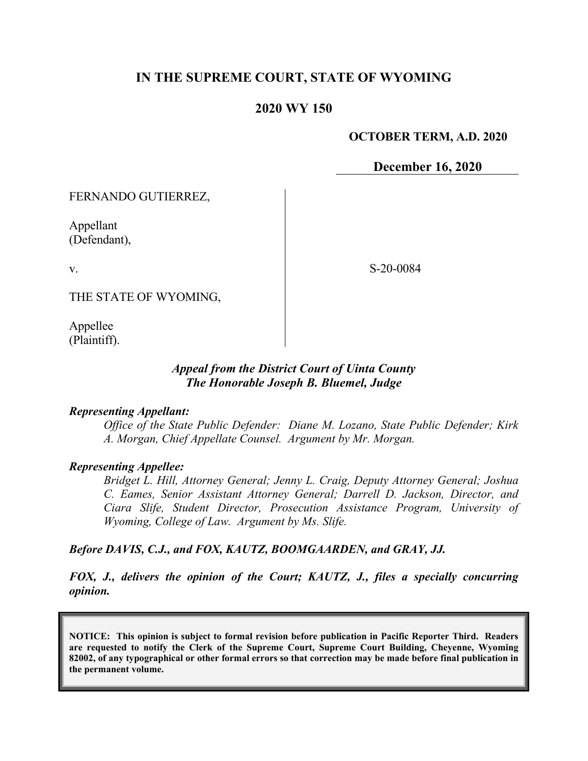## **IN THE SUPREME COURT, STATE OF WYOMING**

## **2020 WY 150**

#### **OCTOBER TERM, A.D. 2020**

**December 16, 2020**

FERNANDO GUTIERREZ,

Appellant (Defendant),

v.

S-20-0084

THE STATE OF WYOMING,

Appellee (Plaintiff).

## *Appeal from the District Court of Uinta County The Honorable Joseph B. Bluemel, Judge*

#### *Representing Appellant:*

*Office of the State Public Defender: Diane M. Lozano, State Public Defender; Kirk A. Morgan, Chief Appellate Counsel. Argument by Mr. Morgan.*

#### *Representing Appellee:*

*Bridget L. Hill, Attorney General; Jenny L. Craig, Deputy Attorney General; Joshua C. Eames, Senior Assistant Attorney General; Darrell D. Jackson, Director, and Ciara Slife, Student Director, Prosecution Assistance Program, University of Wyoming, College of Law. Argument by Ms. Slife.*

### *Before DAVIS, C.J., and FOX, KAUTZ, BOOMGAARDEN, and GRAY, JJ.*

*FOX, J., delivers the opinion of the Court; KAUTZ, J., files a specially concurring opinion.*

**NOTICE: This opinion is subject to formal revision before publication in Pacific Reporter Third. Readers are requested to notify the Clerk of the Supreme Court, Supreme Court Building, Cheyenne, Wyoming 82002, of any typographical or other formal errors so that correction may be made before final publication in the permanent volume.**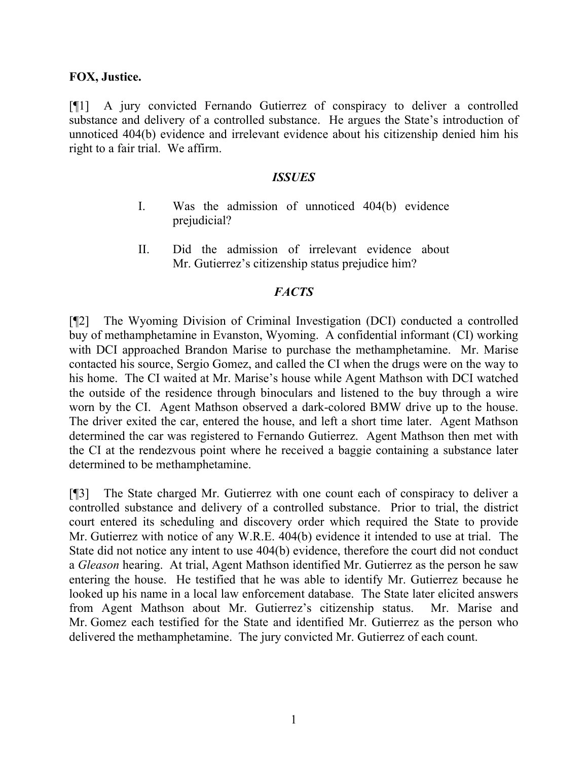### **FOX, Justice.**

[¶1] A jury convicted Fernando Gutierrez of conspiracy to deliver a controlled substance and delivery of a controlled substance. He argues the State's introduction of unnoticed 404(b) evidence and irrelevant evidence about his citizenship denied him his right to a fair trial. We affirm.

#### *ISSUES*

- I. Was the admission of unnoticed 404(b) evidence prejudicial?
- II. Did the admission of irrelevant evidence about Mr. Gutierrez's citizenship status prejudice him?

## *FACTS*

[¶2] The Wyoming Division of Criminal Investigation (DCI) conducted a controlled buy of methamphetamine in Evanston, Wyoming. A confidential informant (CI) working with DCI approached Brandon Marise to purchase the methamphetamine. Mr. Marise contacted his source, Sergio Gomez, and called the CI when the drugs were on the way to his home. The CI waited at Mr. Marise's house while Agent Mathson with DCI watched the outside of the residence through binoculars and listened to the buy through a wire worn by the CI. Agent Mathson observed a dark-colored BMW drive up to the house. The driver exited the car, entered the house, and left a short time later. Agent Mathson determined the car was registered to Fernando Gutierrez. Agent Mathson then met with the CI at the rendezvous point where he received a baggie containing a substance later determined to be methamphetamine.

[¶3] The State charged Mr. Gutierrez with one count each of conspiracy to deliver a controlled substance and delivery of a controlled substance. Prior to trial, the district court entered its scheduling and discovery order which required the State to provide Mr. Gutierrez with notice of any W.R.E. 404(b) evidence it intended to use at trial. The State did not notice any intent to use 404(b) evidence, therefore the court did not conduct a *Gleason* hearing. At trial, Agent Mathson identified Mr. Gutierrez as the person he saw entering the house. He testified that he was able to identify Mr. Gutierrez because he looked up his name in a local law enforcement database. The State later elicited answers from Agent Mathson about Mr. Gutierrez's citizenship status. Mr. Marise and Mr. Gomez each testified for the State and identified Mr. Gutierrez as the person who delivered the methamphetamine. The jury convicted Mr. Gutierrez of each count.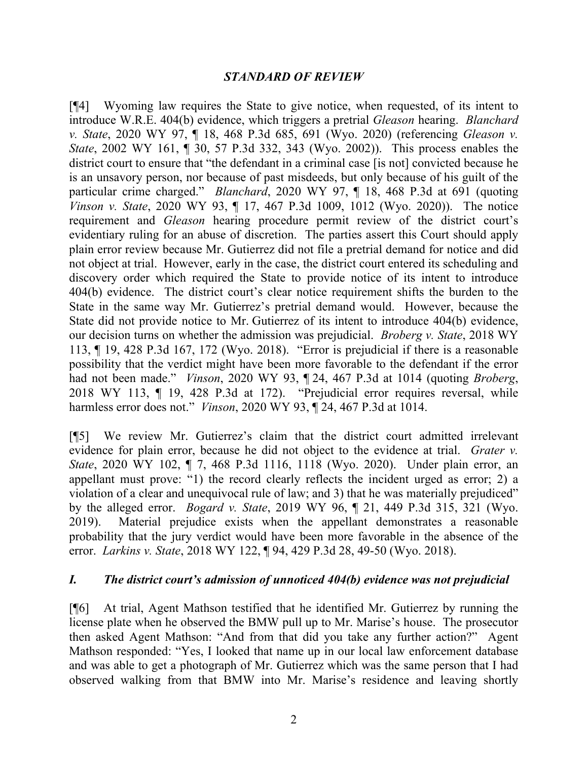## *STANDARD OF REVIEW*

[¶4] Wyoming law requires the State to give notice, when requested, of its intent to introduce W.R.E. 404(b) evidence, which triggers a pretrial *Gleason* hearing. *Blanchard v. State*, 2020 WY 97, ¶ 18, 468 P.3d 685, 691 (Wyo. 2020) (referencing *Gleason v. State*, 2002 WY 161, ¶ 30, 57 P.3d 332, 343 (Wyo. 2002)). This process enables the district court to ensure that "the defendant in a criminal case [is not] convicted because he is an unsavory person, nor because of past misdeeds, but only because of his guilt of the particular crime charged." *Blanchard*, 2020 WY 97, ¶ 18, 468 P.3d at 691 (quoting *Vinson v. State*, 2020 WY 93, ¶ 17, 467 P.3d 1009, 1012 (Wyo. 2020)). The notice requirement and *Gleason* hearing procedure permit review of the district court's evidentiary ruling for an abuse of discretion. The parties assert this Court should apply plain error review because Mr. Gutierrez did not file a pretrial demand for notice and did not object at trial. However, early in the case, the district court entered its scheduling and discovery order which required the State to provide notice of its intent to introduce 404(b) evidence. The district court's clear notice requirement shifts the burden to the State in the same way Mr. Gutierrez's pretrial demand would. However, because the State did not provide notice to Mr. Gutierrez of its intent to introduce 404(b) evidence, our decision turns on whether the admission was prejudicial. *Broberg v. State*, 2018 WY 113, ¶ 19, 428 P.3d 167, 172 (Wyo. 2018). "Error is prejudicial if there is a reasonable possibility that the verdict might have been more favorable to the defendant if the error had not been made." *Vinson*, 2020 WY 93, ¶ 24, 467 P.3d at 1014 (quoting *Broberg*, 2018 WY 113, ¶ 19, 428 P.3d at 172). "Prejudicial error requires reversal, while harmless error does not." *Vinson*, 2020 WY 93, ¶ 24, 467 P.3d at 1014.

[¶5] We review Mr. Gutierrez's claim that the district court admitted irrelevant evidence for plain error, because he did not object to the evidence at trial. *Grater v. State*, 2020 WY 102, ¶ 7, 468 P.3d 1116, 1118 (Wyo. 2020). Under plain error, an appellant must prove: "1) the record clearly reflects the incident urged as error; 2) a violation of a clear and unequivocal rule of law; and 3) that he was materially prejudiced" by the alleged error. *Bogard v. State*, 2019 WY 96, ¶ 21, 449 P.3d 315, 321 (Wyo. 2019). Material prejudice exists when the appellant demonstrates a reasonable probability that the jury verdict would have been more favorable in the absence of the error. *Larkins v. State*, 2018 WY 122, ¶ 94, 429 P.3d 28, 49-50 (Wyo. 2018).

### *I. The district court's admission of unnoticed 404(b) evidence was not prejudicial*

[¶6] At trial, Agent Mathson testified that he identified Mr. Gutierrez by running the license plate when he observed the BMW pull up to Mr. Marise's house. The prosecutor then asked Agent Mathson: "And from that did you take any further action?" Agent Mathson responded: "Yes, I looked that name up in our local law enforcement database and was able to get a photograph of Mr. Gutierrez which was the same person that I had observed walking from that BMW into Mr. Marise's residence and leaving shortly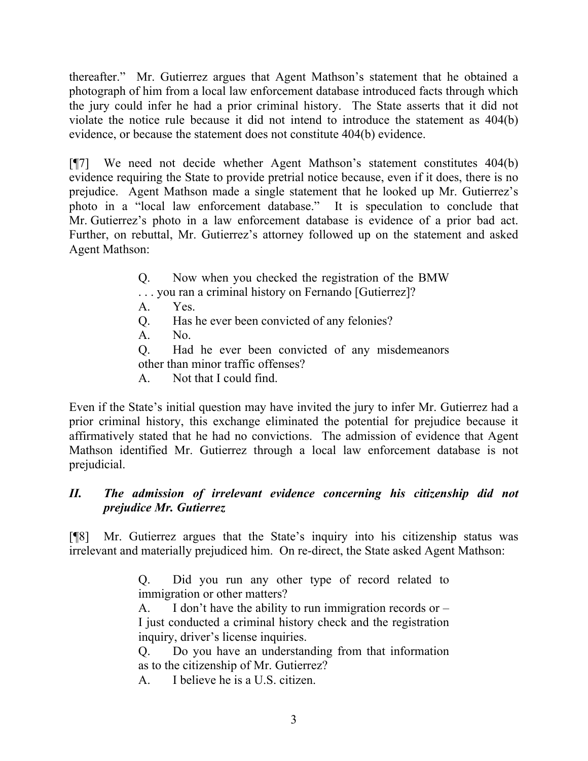thereafter." Mr. Gutierrez argues that Agent Mathson's statement that he obtained a photograph of him from a local law enforcement database introduced facts through which the jury could infer he had a prior criminal history. The State asserts that it did not violate the notice rule because it did not intend to introduce the statement as 404(b) evidence, or because the statement does not constitute 404(b) evidence.

[¶7] We need not decide whether Agent Mathson's statement constitutes 404(b) evidence requiring the State to provide pretrial notice because, even if it does, there is no prejudice. Agent Mathson made a single statement that he looked up Mr. Gutierrez's photo in a "local law enforcement database." It is speculation to conclude that Mr. Gutierrez's photo in a law enforcement database is evidence of a prior bad act. Further, on rebuttal, Mr. Gutierrez's attorney followed up on the statement and asked Agent Mathson:

> Q. Now when you checked the registration of the BMW . . . you ran a criminal history on Fernando [Gutierrez]? A. Yes. Q. Has he ever been convicted of any felonies? A. No. Q. Had he ever been convicted of any misdemeanors other than minor traffic offenses? A. Not that I could find.

Even if the State's initial question may have invited the jury to infer Mr. Gutierrez had a prior criminal history, this exchange eliminated the potential for prejudice because it affirmatively stated that he had no convictions. The admission of evidence that Agent Mathson identified Mr. Gutierrez through a local law enforcement database is not prejudicial.

# *II. The admission of irrelevant evidence concerning his citizenship did not prejudice Mr. Gutierrez*

[¶8] Mr. Gutierrez argues that the State's inquiry into his citizenship status was irrelevant and materially prejudiced him. On re-direct, the State asked Agent Mathson:

> Q. Did you run any other type of record related to immigration or other matters?

> A. I don't have the ability to run immigration records or  $-$ I just conducted a criminal history check and the registration inquiry, driver's license inquiries.

> Q. Do you have an understanding from that information as to the citizenship of Mr. Gutierrez?

A. I believe he is a U.S. citizen.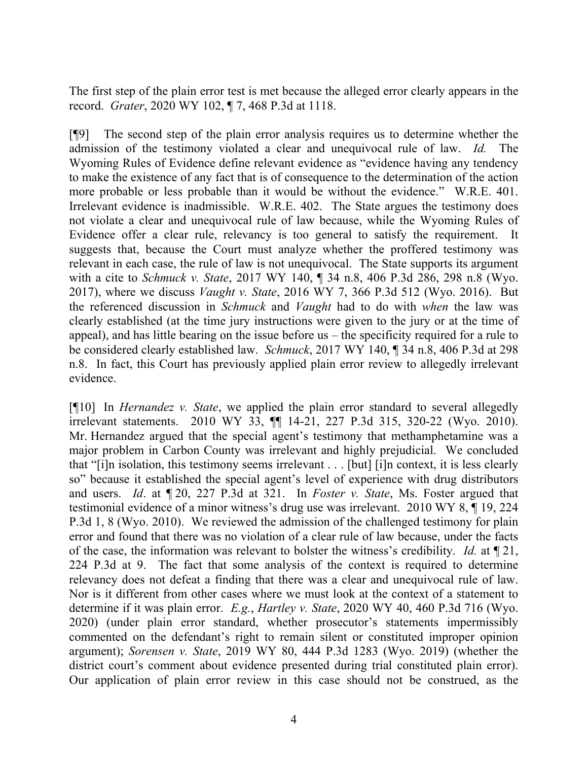The first step of the plain error test is met because the alleged error clearly appears in the record. *Grater*, 2020 WY 102, ¶ 7, 468 P.3d at 1118.

[¶9] The second step of the plain error analysis requires us to determine whether the admission of the testimony violated a clear and unequivocal rule of law. *Id.* The Wyoming Rules of Evidence define relevant evidence as "evidence having any tendency to make the existence of any fact that is of consequence to the determination of the action more probable or less probable than it would be without the evidence." W.R.E. 401. Irrelevant evidence is inadmissible. W.R.E. 402. The State argues the testimony does not violate a clear and unequivocal rule of law because, while the Wyoming Rules of Evidence offer a clear rule, relevancy is too general to satisfy the requirement. It suggests that, because the Court must analyze whether the proffered testimony was relevant in each case, the rule of law is not unequivocal. The State supports its argument with a cite to *Schmuck v. State*, 2017 WY 140, ¶ 34 n.8, 406 P.3d 286, 298 n.8 (Wyo. 2017), where we discuss *Vaught v. State*, 2016 WY 7, 366 P.3d 512 (Wyo. 2016). But the referenced discussion in *Schmuck* and *Vaught* had to do with *when* the law was clearly established (at the time jury instructions were given to the jury or at the time of appeal), and has little bearing on the issue before us – the specificity required for a rule to be considered clearly established law. *Schmuck*, 2017 WY 140, ¶ 34 n.8, 406 P.3d at 298 n.8. In fact, this Court has previously applied plain error review to allegedly irrelevant evidence.

[¶10] In *Hernandez v. State*, we applied the plain error standard to several allegedly irrelevant statements. 2010 WY 33, ¶¶ 14-21, 227 P.3d 315, 320-22 (Wyo. 2010). Mr. Hernandez argued that the special agent's testimony that methamphetamine was a major problem in Carbon County was irrelevant and highly prejudicial. We concluded that "[i]n isolation, this testimony seems irrelevant . . . [but] [i]n context, it is less clearly so" because it established the special agent's level of experience with drug distributors and users. *Id*. at ¶ 20, 227 P.3d at 321. In *Foster v. State*, Ms. Foster argued that testimonial evidence of a minor witness's drug use was irrelevant. 2010 WY 8, ¶ 19, 224 P.3d 1, 8 (Wyo. 2010). We reviewed the admission of the challenged testimony for plain error and found that there was no violation of a clear rule of law because, under the facts of the case, the information was relevant to bolster the witness's credibility. *Id.* at ¶ 21, 224 P.3d at 9. The fact that some analysis of the context is required to determine relevancy does not defeat a finding that there was a clear and unequivocal rule of law. Nor is it different from other cases where we must look at the context of a statement to determine if it was plain error. *E.g.*, *Hartley v. State*, 2020 WY 40, 460 P.3d 716 (Wyo. 2020) (under plain error standard, whether prosecutor's statements impermissibly commented on the defendant's right to remain silent or constituted improper opinion argument); *Sorensen v. State*, 2019 WY 80, 444 P.3d 1283 (Wyo. 2019) (whether the district court's comment about evidence presented during trial constituted plain error). Our application of plain error review in this case should not be construed, as the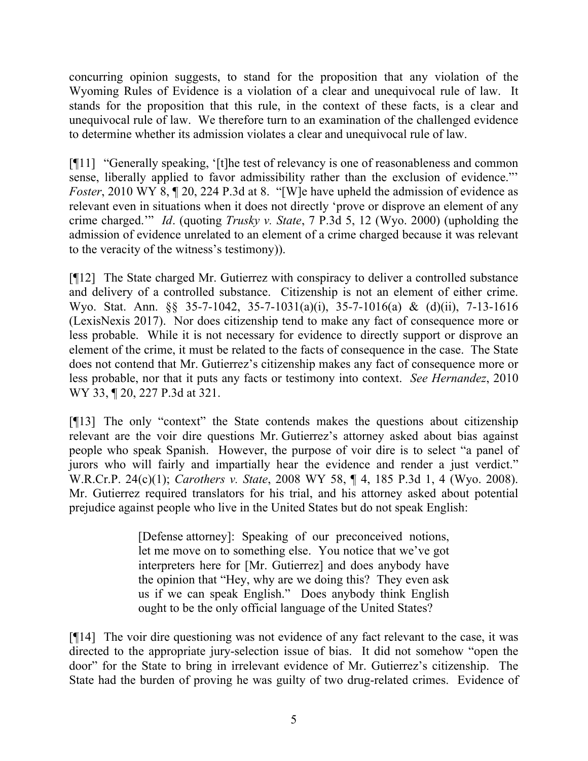concurring opinion suggests, to stand for the proposition that any violation of the Wyoming Rules of Evidence is a violation of a clear and unequivocal rule of law. It stands for the proposition that this rule, in the context of these facts, is a clear and unequivocal rule of law. We therefore turn to an examination of the challenged evidence to determine whether its admission violates a clear and unequivocal rule of law.

[¶11] "Generally speaking, '[t]he test of relevancy is one of reasonableness and common sense, liberally applied to favor admissibility rather than the exclusion of evidence."' *Foster*, 2010 WY 8,  $\P$  20, 224 P.3d at 8. "[W]e have upheld the admission of evidence as relevant even in situations when it does not directly 'prove or disprove an element of any crime charged.'" *Id*. (quoting *Trusky v. State*, 7 P.3d 5, 12 (Wyo. 2000) (upholding the admission of evidence unrelated to an element of a crime charged because it was relevant to the veracity of the witness's testimony)).

[¶12] The State charged Mr. Gutierrez with conspiracy to deliver a controlled substance and delivery of a controlled substance. Citizenship is not an element of either crime. Wyo. Stat. Ann. §§ 35-7-1042, 35-7-1031(a)(i), 35-7-1016(a) & (d)(ii), 7-13-1616 (LexisNexis 2017). Nor does citizenship tend to make any fact of consequence more or less probable. While it is not necessary for evidence to directly support or disprove an element of the crime, it must be related to the facts of consequence in the case. The State does not contend that Mr. Gutierrez's citizenship makes any fact of consequence more or less probable, nor that it puts any facts or testimony into context. *See Hernandez*, 2010 WY 33, ¶ 20, 227 P.3d at 321.

[¶13] The only "context" the State contends makes the questions about citizenship relevant are the voir dire questions Mr. Gutierrez's attorney asked about bias against people who speak Spanish. However, the purpose of voir dire is to select "a panel of jurors who will fairly and impartially hear the evidence and render a just verdict." W.R.Cr.P. 24(c)(1); *Carothers v. State*, 2008 WY 58, ¶ 4, 185 P.3d 1, 4 (Wyo. 2008). Mr. Gutierrez required translators for his trial, and his attorney asked about potential prejudice against people who live in the United States but do not speak English:

> [Defense attorney]: Speaking of our preconceived notions, let me move on to something else. You notice that we've got interpreters here for [Mr. Gutierrez] and does anybody have the opinion that "Hey, why are we doing this? They even ask us if we can speak English." Does anybody think English ought to be the only official language of the United States?

[¶14] The voir dire questioning was not evidence of any fact relevant to the case, it was directed to the appropriate jury-selection issue of bias. It did not somehow "open the door" for the State to bring in irrelevant evidence of Mr. Gutierrez's citizenship. The State had the burden of proving he was guilty of two drug-related crimes. Evidence of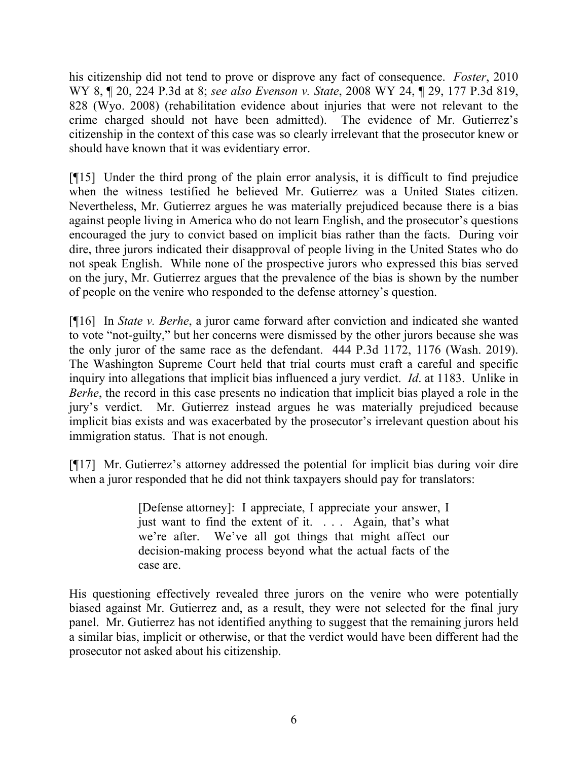his citizenship did not tend to prove or disprove any fact of consequence. *Foster*, 2010 WY 8, ¶ 20, 224 P.3d at 8; *see also Evenson v. State*, 2008 WY 24, ¶ 29, 177 P.3d 819, 828 (Wyo. 2008) (rehabilitation evidence about injuries that were not relevant to the crime charged should not have been admitted). The evidence of Mr. Gutierrez's citizenship in the context of this case was so clearly irrelevant that the prosecutor knew or should have known that it was evidentiary error.

[¶15] Under the third prong of the plain error analysis, it is difficult to find prejudice when the witness testified he believed Mr. Gutierrez was a United States citizen. Nevertheless, Mr. Gutierrez argues he was materially prejudiced because there is a bias against people living in America who do not learn English, and the prosecutor's questions encouraged the jury to convict based on implicit bias rather than the facts. During voir dire, three jurors indicated their disapproval of people living in the United States who do not speak English. While none of the prospective jurors who expressed this bias served on the jury, Mr. Gutierrez argues that the prevalence of the bias is shown by the number of people on the venire who responded to the defense attorney's question.

[¶16] In *State v. Berhe*, a juror came forward after conviction and indicated she wanted to vote "not-guilty," but her concerns were dismissed by the other jurors because she was the only juror of the same race as the defendant. 444 P.3d 1172, 1176 (Wash. 2019). The Washington Supreme Court held that trial courts must craft a careful and specific inquiry into allegations that implicit bias influenced a jury verdict. *Id*. at 1183. Unlike in *Berhe*, the record in this case presents no indication that implicit bias played a role in the jury's verdict. Mr. Gutierrez instead argues he was materially prejudiced because implicit bias exists and was exacerbated by the prosecutor's irrelevant question about his immigration status. That is not enough.

[¶17] Mr. Gutierrez's attorney addressed the potential for implicit bias during voir dire when a juror responded that he did not think taxpayers should pay for translators:

> [Defense attorney]: I appreciate, I appreciate your answer, I just want to find the extent of it. . . . Again, that's what we're after. We've all got things that might affect our decision-making process beyond what the actual facts of the case are.

His questioning effectively revealed three jurors on the venire who were potentially biased against Mr. Gutierrez and, as a result, they were not selected for the final jury panel. Mr. Gutierrez has not identified anything to suggest that the remaining jurors held a similar bias, implicit or otherwise, or that the verdict would have been different had the prosecutor not asked about his citizenship.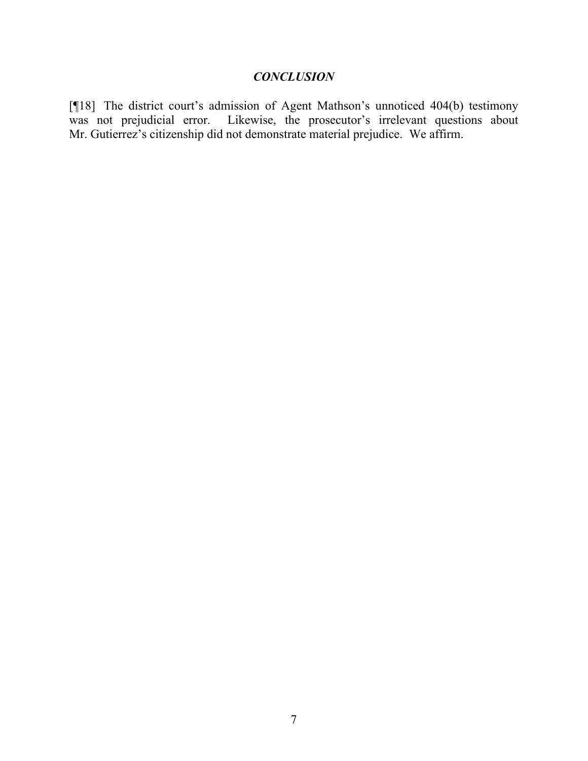# *CONCLUSION*

[¶18] The district court's admission of Agent Mathson's unnoticed 404(b) testimony was not prejudicial error. Likewise, the prosecutor's irrelevant questions about Mr. Gutierrez's citizenship did not demonstrate material prejudice. We affirm.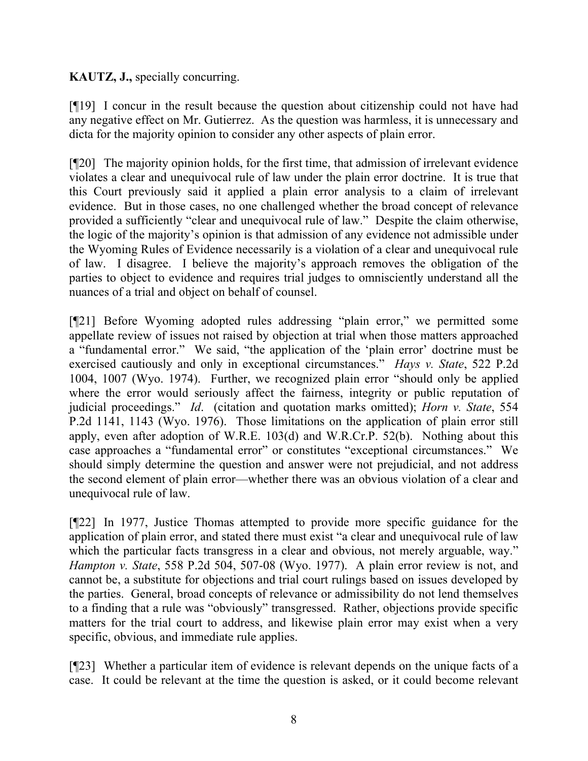## **KAUTZ, J.,** specially concurring.

[¶19] I concur in the result because the question about citizenship could not have had any negative effect on Mr. Gutierrez. As the question was harmless, it is unnecessary and dicta for the majority opinion to consider any other aspects of plain error.

[¶20] The majority opinion holds, for the first time, that admission of irrelevant evidence violates a clear and unequivocal rule of law under the plain error doctrine. It is true that this Court previously said it applied a plain error analysis to a claim of irrelevant evidence. But in those cases, no one challenged whether the broad concept of relevance provided a sufficiently "clear and unequivocal rule of law." Despite the claim otherwise, the logic of the majority's opinion is that admission of any evidence not admissible under the Wyoming Rules of Evidence necessarily is a violation of a clear and unequivocal rule of law. I disagree. I believe the majority's approach removes the obligation of the parties to object to evidence and requires trial judges to omnisciently understand all the nuances of a trial and object on behalf of counsel.

[¶21] Before Wyoming adopted rules addressing "plain error," we permitted some appellate review of issues not raised by objection at trial when those matters approached a "fundamental error." We said, "the application of the 'plain error' doctrine must be exercised cautiously and only in exceptional circumstances." *Hays v. State*, 522 P.2d 1004, 1007 (Wyo. 1974). Further, we recognized plain error "should only be applied where the error would seriously affect the fairness, integrity or public reputation of judicial proceedings." *Id*. (citation and quotation marks omitted); *Horn v. State*, 554 P.2d 1141, 1143 (Wyo. 1976). Those limitations on the application of plain error still apply, even after adoption of W.R.E. 103(d) and W.R.Cr.P. 52(b). Nothing about this case approaches a "fundamental error" or constitutes "exceptional circumstances." We should simply determine the question and answer were not prejudicial, and not address the second element of plain error—whether there was an obvious violation of a clear and unequivocal rule of law.

[¶22] In 1977, Justice Thomas attempted to provide more specific guidance for the application of plain error, and stated there must exist "a clear and unequivocal rule of law which the particular facts transgress in a clear and obvious, not merely arguable, way." *Hampton v. State*, 558 P.2d 504, 507-08 (Wyo. 1977). A plain error review is not, and cannot be, a substitute for objections and trial court rulings based on issues developed by the parties. General, broad concepts of relevance or admissibility do not lend themselves to a finding that a rule was "obviously" transgressed. Rather, objections provide specific matters for the trial court to address, and likewise plain error may exist when a very specific, obvious, and immediate rule applies.

[¶23] Whether a particular item of evidence is relevant depends on the unique facts of a case. It could be relevant at the time the question is asked, or it could become relevant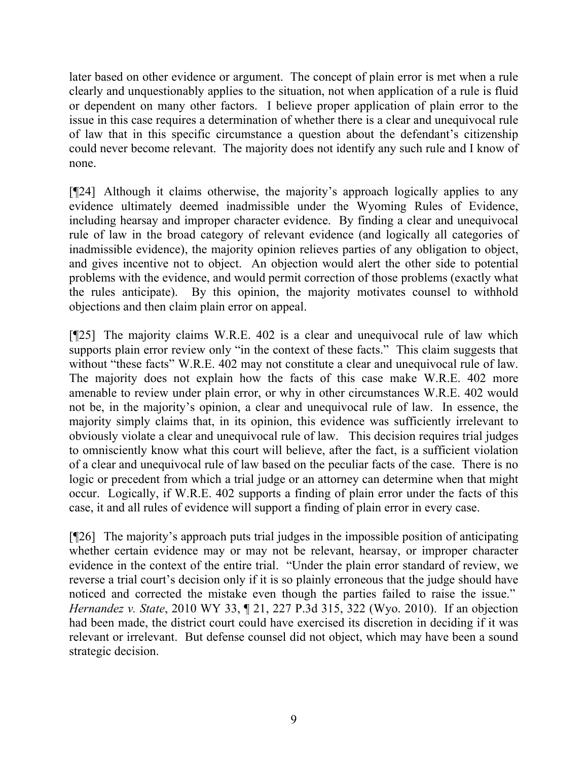later based on other evidence or argument. The concept of plain error is met when a rule clearly and unquestionably applies to the situation, not when application of a rule is fluid or dependent on many other factors. I believe proper application of plain error to the issue in this case requires a determination of whether there is a clear and unequivocal rule of law that in this specific circumstance a question about the defendant's citizenship could never become relevant. The majority does not identify any such rule and I know of none.

[¶24] Although it claims otherwise, the majority's approach logically applies to any evidence ultimately deemed inadmissible under the Wyoming Rules of Evidence, including hearsay and improper character evidence. By finding a clear and unequivocal rule of law in the broad category of relevant evidence (and logically all categories of inadmissible evidence), the majority opinion relieves parties of any obligation to object, and gives incentive not to object. An objection would alert the other side to potential problems with the evidence, and would permit correction of those problems (exactly what the rules anticipate). By this opinion, the majority motivates counsel to withhold objections and then claim plain error on appeal.

[¶25] The majority claims W.R.E. 402 is a clear and unequivocal rule of law which supports plain error review only "in the context of these facts." This claim suggests that without "these facts" W.R.E. 402 may not constitute a clear and unequivocal rule of law. The majority does not explain how the facts of this case make W.R.E. 402 more amenable to review under plain error, or why in other circumstances W.R.E. 402 would not be, in the majority's opinion, a clear and unequivocal rule of law. In essence, the majority simply claims that, in its opinion, this evidence was sufficiently irrelevant to obviously violate a clear and unequivocal rule of law. This decision requires trial judges to omnisciently know what this court will believe, after the fact, is a sufficient violation of a clear and unequivocal rule of law based on the peculiar facts of the case. There is no logic or precedent from which a trial judge or an attorney can determine when that might occur. Logically, if W.R.E. 402 supports a finding of plain error under the facts of this case, it and all rules of evidence will support a finding of plain error in every case.

[¶26] The majority's approach puts trial judges in the impossible position of anticipating whether certain evidence may or may not be relevant, hearsay, or improper character evidence in the context of the entire trial. "Under the plain error standard of review, we reverse a trial court's decision only if it is so plainly erroneous that the judge should have noticed and corrected the mistake even though the parties failed to raise the issue." *Hernandez v. State*, 2010 WY 33, ¶ 21, 227 P.3d 315, 322 (Wyo. 2010). If an objection had been made, the district court could have exercised its discretion in deciding if it was relevant or irrelevant. But defense counsel did not object, which may have been a sound strategic decision.